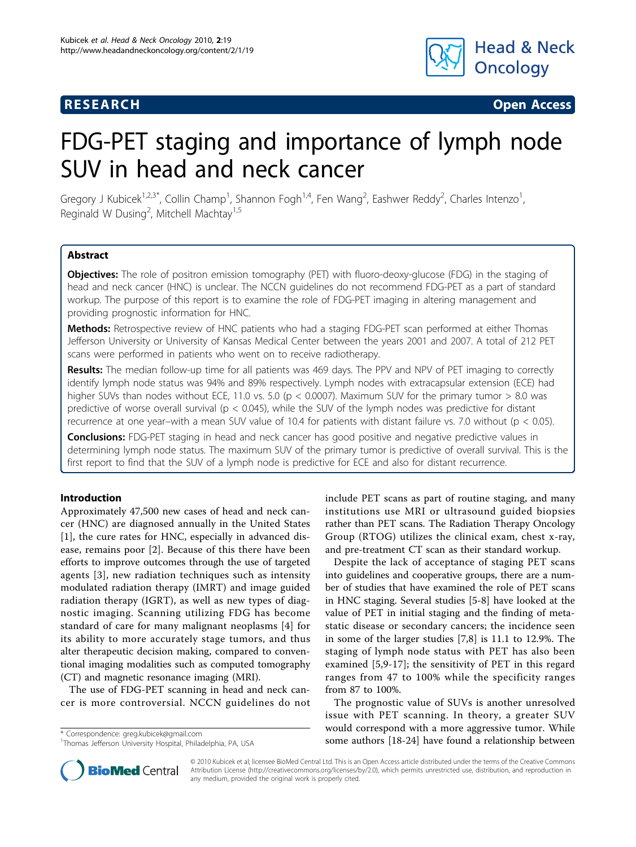

**RESEARCH CHRISTIAN CONSUMING CONTRACT CONSUMING CONSUMING CONSUMING CONSUMING CONSUMING CONSUMING CONSUMING CO** 

# FDG-PET staging and importance of lymph node SUV in head and neck cancer

Gregory J Kubicek<sup>1,2,3\*</sup>, Collin Champ<sup>1</sup>, Shannon Fogh<sup>1,4</sup>, Fen Wang<sup>2</sup>, Eashwer Reddy<sup>2</sup>, Charles Intenzo<sup>1</sup> , Reginald W Dusing<sup>2</sup>, Mitchell Machtay<sup>1,5</sup>

# Abstract

Objectives: The role of positron emission tomography (PET) with fluoro-deoxy-glucose (FDG) in the staging of head and neck cancer (HNC) is unclear. The NCCN guidelines do not recommend FDG-PET as a part of standard workup. The purpose of this report is to examine the role of FDG-PET imaging in altering management and providing prognostic information for HNC.

Methods: Retrospective review of HNC patients who had a staging FDG-PET scan performed at either Thomas Jefferson University or University of Kansas Medical Center between the years 2001 and 2007. A total of 212 PET scans were performed in patients who went on to receive radiotherapy.

Results: The median follow-up time for all patients was 469 days. The PPV and NPV of PET imaging to correctly identify lymph node status was 94% and 89% respectively. Lymph nodes with extracapsular extension (ECE) had higher SUVs than nodes without ECE, 11.0 vs. 5.0 (p < 0.0007). Maximum SUV for the primary tumor > 8.0 was predictive of worse overall survival ( $p < 0.045$ ), while the SUV of the lymph nodes was predictive for distant recurrence at one year–with a mean SUV value of 10.4 for patients with distant failure vs. 7.0 without (p < 0.05).

**Conclusions:** FDG-PET staging in head and neck cancer has good positive and negative predictive values in determining lymph node status. The maximum SUV of the primary tumor is predictive of overall survival. This is the first report to find that the SUV of a lymph node is predictive for ECE and also for distant recurrence.

# Introduction

Approximately 47,500 new cases of head and neck cancer (HNC) are diagnosed annually in the United States [[1\]](#page-5-0), the cure rates for HNC, especially in advanced disease, remains poor [[2\]](#page-5-0). Because of this there have been efforts to improve outcomes through the use of targeted agents [[3](#page-5-0)], new radiation techniques such as intensity modulated radiation therapy (IMRT) and image guided radiation therapy (IGRT), as well as new types of diagnostic imaging. Scanning utilizing FDG has become standard of care for many malignant neoplasms [[4\]](#page-5-0) for its ability to more accurately stage tumors, and thus alter therapeutic decision making, compared to conventional imaging modalities such as computed tomography (CT) and magnetic resonance imaging (MRI).

The use of FDG-PET scanning in head and neck cancer is more controversial. NCCN guidelines do not

include PET scans as part of routine staging, and many institutions use MRI or ultrasound guided biopsies rather than PET scans. The Radiation Therapy Oncology Group (RTOG) utilizes the clinical exam, chest x-ray, and pre-treatment CT scan as their standard workup.

Despite the lack of acceptance of staging PET scans into guidelines and cooperative groups, there are a number of studies that have examined the role of PET scans in HNC staging. Several studies [\[5](#page-5-0)-[8\]](#page-5-0) have looked at the value of PET in initial staging and the finding of metastatic disease or secondary cancers; the incidence seen in some of the larger studies [[7,8\]](#page-5-0) is 11.1 to 12.9%. The staging of lymph node status with PET has also been examined [[5,9-17\]](#page-5-0); the sensitivity of PET in this regard ranges from 47 to 100% while the specificity ranges from 87 to 100%.

The prognostic value of SUVs is another unresolved issue with PET scanning. In theory, a greater SUV would correspond with a more aggressive tumor. While some authors [[18-24\]](#page-5-0) have found a relationship between \* Correspondence: [greg.kubicek@gmail.com](mailto:greg.kubicek@gmail.com)



© 2010 Kubicek et al; licensee BioMed Central Ltd. This is an Open Access article distributed under the terms of the Creative Commons Attribution License [\(http://creativecommons.org/licenses/by/2.0](http://creativecommons.org/licenses/by/2.0)), which permits unrestricted use, distribution, and reproduction in any medium, provided the original work is properly cited.

<sup>&</sup>lt;sup>1</sup>Thomas Jefferson University Hospital, Philadelphia, PA, USA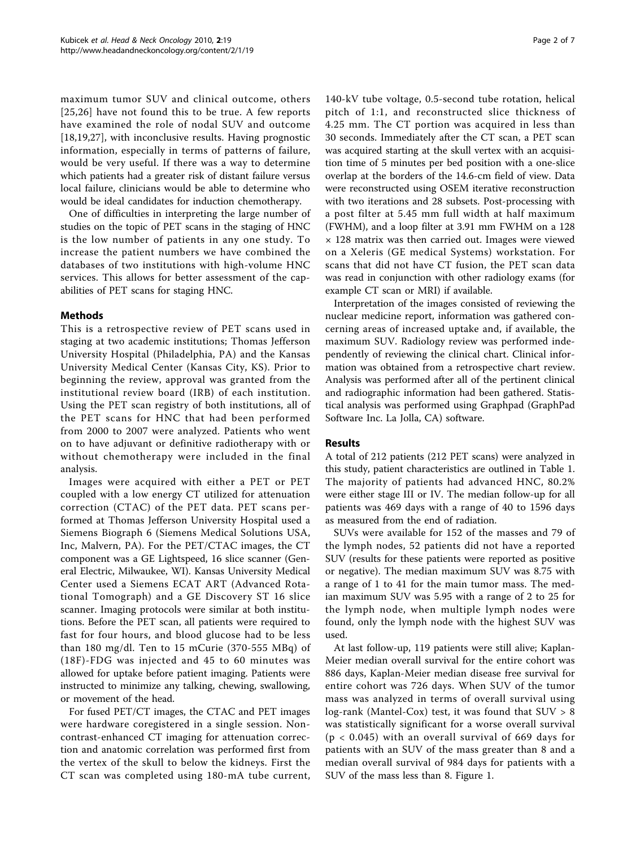maximum tumor SUV and clinical outcome, others [[25,26](#page-6-0)] have not found this to be true. A few reports have examined the role of nodal SUV and outcome [[18,19](#page-5-0),[27\]](#page-6-0), with inconclusive results. Having prognostic information, especially in terms of patterns of failure, would be very useful. If there was a way to determine which patients had a greater risk of distant failure versus local failure, clinicians would be able to determine who would be ideal candidates for induction chemotherapy.

One of difficulties in interpreting the large number of studies on the topic of PET scans in the staging of HNC is the low number of patients in any one study. To increase the patient numbers we have combined the databases of two institutions with high-volume HNC services. This allows for better assessment of the capabilities of PET scans for staging HNC.

# Methods

This is a retrospective review of PET scans used in staging at two academic institutions; Thomas Jefferson University Hospital (Philadelphia, PA) and the Kansas University Medical Center (Kansas City, KS). Prior to beginning the review, approval was granted from the institutional review board (IRB) of each institution. Using the PET scan registry of both institutions, all of the PET scans for HNC that had been performed from 2000 to 2007 were analyzed. Patients who went on to have adjuvant or definitive radiotherapy with or without chemotherapy were included in the final analysis.

Images were acquired with either a PET or PET coupled with a low energy CT utilized for attenuation correction (CTAC) of the PET data. PET scans performed at Thomas Jefferson University Hospital used a Siemens Biograph 6 (Siemens Medical Solutions USA, Inc, Malvern, PA). For the PET/CTAC images, the CT component was a GE Lightspeed, 16 slice scanner (General Electric, Milwaukee, WI). Kansas University Medical Center used a Siemens ECAT ART (Advanced Rotational Tomograph) and a GE Discovery ST 16 slice scanner. Imaging protocols were similar at both institutions. Before the PET scan, all patients were required to fast for four hours, and blood glucose had to be less than 180 mg/dl. Ten to 15 mCurie (370-555 MBq) of (18F)-FDG was injected and 45 to 60 minutes was allowed for uptake before patient imaging. Patients were instructed to minimize any talking, chewing, swallowing, or movement of the head.

For fused PET/CT images, the CTAC and PET images were hardware coregistered in a single session. Noncontrast-enhanced CT imaging for attenuation correction and anatomic correlation was performed first from the vertex of the skull to below the kidneys. First the CT scan was completed using 180-mA tube current,

140-kV tube voltage, 0.5-second tube rotation, helical pitch of 1:1, and reconstructed slice thickness of 4.25 mm. The CT portion was acquired in less than 30 seconds. Immediately after the CT scan, a PET scan was acquired starting at the skull vertex with an acquisition time of 5 minutes per bed position with a one-slice overlap at the borders of the 14.6-cm field of view. Data were reconstructed using OSEM iterative reconstruction with two iterations and 28 subsets. Post-processing with a post filter at 5.45 mm full width at half maximum (FWHM), and a loop filter at 3.91 mm FWHM on a 128 × 128 matrix was then carried out. Images were viewed on a Xeleris (GE medical Systems) workstation. For scans that did not have CT fusion, the PET scan data was read in conjunction with other radiology exams (for example CT scan or MRI) if available.

Interpretation of the images consisted of reviewing the nuclear medicine report, information was gathered concerning areas of increased uptake and, if available, the maximum SUV. Radiology review was performed independently of reviewing the clinical chart. Clinical information was obtained from a retrospective chart review. Analysis was performed after all of the pertinent clinical and radiographic information had been gathered. Statistical analysis was performed using Graphpad (GraphPad Software Inc. La Jolla, CA) software.

# Results

A total of 212 patients (212 PET scans) were analyzed in this study, patient characteristics are outlined in Table [1](#page-2-0). The majority of patients had advanced HNC, 80.2% were either stage III or IV. The median follow-up for all patients was 469 days with a range of 40 to 1596 days as measured from the end of radiation.

SUVs were available for 152 of the masses and 79 of the lymph nodes, 52 patients did not have a reported SUV (results for these patients were reported as positive or negative). The median maximum SUV was 8.75 with a range of 1 to 41 for the main tumor mass. The median maximum SUV was 5.95 with a range of 2 to 25 for the lymph node, when multiple lymph nodes were found, only the lymph node with the highest SUV was used.

At last follow-up, 119 patients were still alive; Kaplan-Meier median overall survival for the entire cohort was 886 days, Kaplan-Meier median disease free survival for entire cohort was 726 days. When SUV of the tumor mass was analyzed in terms of overall survival using log-rank (Mantel-Cox) test, it was found that  $SUV > 8$ was statistically significant for a worse overall survival (p < 0.045) with an overall survival of 669 days for patients with an SUV of the mass greater than 8 and a median overall survival of 984 days for patients with a SUV of the mass less than 8. Figure [1.](#page-2-0)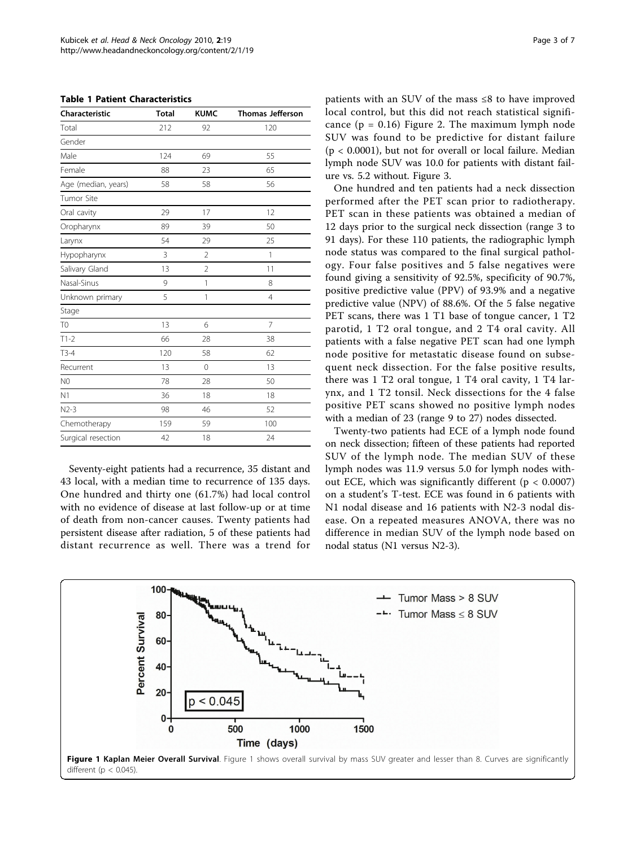<span id="page-2-0"></span>

| <b>Table 1 Patient Characteristics</b> |
|----------------------------------------|
|----------------------------------------|

| <b>Characteristic</b> | <b>Total</b> | <b>KUMC</b>    | <b>Thomas Jefferson</b> |
|-----------------------|--------------|----------------|-------------------------|
| Total                 | 212          | 92             | 120                     |
| Gender                |              |                |                         |
| Male                  | 124          | 69             | 55                      |
| Female                | 88           | 23             | 65                      |
| Age (median, years)   | 58           | 58             | 56                      |
| Tumor Site            |              |                |                         |
| Oral cavity           | 29           | 17             | 12                      |
| Oropharynx            | 89           | 39             | 50                      |
| Larynx                | 54           | 29             | 25                      |
| Hypopharynx           | 3            | 2              | $\mathbf{1}$            |
| Salivary Gland        | 13           | $\overline{2}$ | 11                      |
| Nasal-Sinus           | 9            | 1              | 8                       |
| Unknown primary       | 5            | $\mathbf{1}$   | $\overline{4}$          |
| Stage                 |              |                |                         |
| T <sub>0</sub>        | 13           | 6              | $\overline{7}$          |
| $T1-2$                | 66           | 28             | 38                      |
| $T3-4$                | 120          | 58             | 62                      |
| Recurrent             | 13           | $\mathbf 0$    | 13                      |
| N <sub>0</sub>        | 78           | 28             | 50                      |
| N <sub>1</sub>        | 36           | 18             | 18                      |
| $N2-3$                | 98           | 46             | 52                      |
| Chemotherapy          | 159          | 59             | 100                     |
| Surgical resection    | 42           | 18             | 24                      |

Seventy-eight patients had a recurrence, 35 distant and 43 local, with a median time to recurrence of 135 days. One hundred and thirty one (61.7%) had local control with no evidence of disease at last follow-up or at time of death from non-cancer causes. Twenty patients had persistent disease after radiation, 5 of these patients had distant recurrence as well. There was a trend for patients with an SUV of the mass ≤8 to have improved local control, but this did not reach statistical significance  $(p = 0.16)$  Figure [2.](#page-3-0) The maximum lymph node SUV was found to be predictive for distant failure  $(p < 0.0001)$ , but not for overall or local failure. Median lymph node SUV was 10.0 for patients with distant failure vs. 5.2 without. Figure [3.](#page-3-0)

One hundred and ten patients had a neck dissection performed after the PET scan prior to radiotherapy. PET scan in these patients was obtained a median of 12 days prior to the surgical neck dissection (range 3 to 91 days). For these 110 patients, the radiographic lymph node status was compared to the final surgical pathology. Four false positives and 5 false negatives were found giving a sensitivity of 92.5%, specificity of 90.7%, positive predictive value (PPV) of 93.9% and a negative predictive value (NPV) of 88.6%. Of the 5 false negative PET scans, there was 1 T1 base of tongue cancer, 1 T2 parotid, 1 T2 oral tongue, and 2 T4 oral cavity. All patients with a false negative PET scan had one lymph node positive for metastatic disease found on subsequent neck dissection. For the false positive results, there was 1 T2 oral tongue, 1 T4 oral cavity, 1 T4 larynx, and 1 T2 tonsil. Neck dissections for the 4 false positive PET scans showed no positive lymph nodes with a median of 23 (range 9 to 27) nodes dissected.

Twenty-two patients had ECE of a lymph node found on neck dissection; fifteen of these patients had reported SUV of the lymph node. The median SUV of these lymph nodes was 11.9 versus 5.0 for lymph nodes without ECE, which was significantly different ( $p < 0.0007$ ) on a student's T-test. ECE was found in 6 patients with N1 nodal disease and 16 patients with N2-3 nodal disease. On a repeated measures ANOVA, there was no difference in median SUV of the lymph node based on nodal status (N1 versus N2-3).

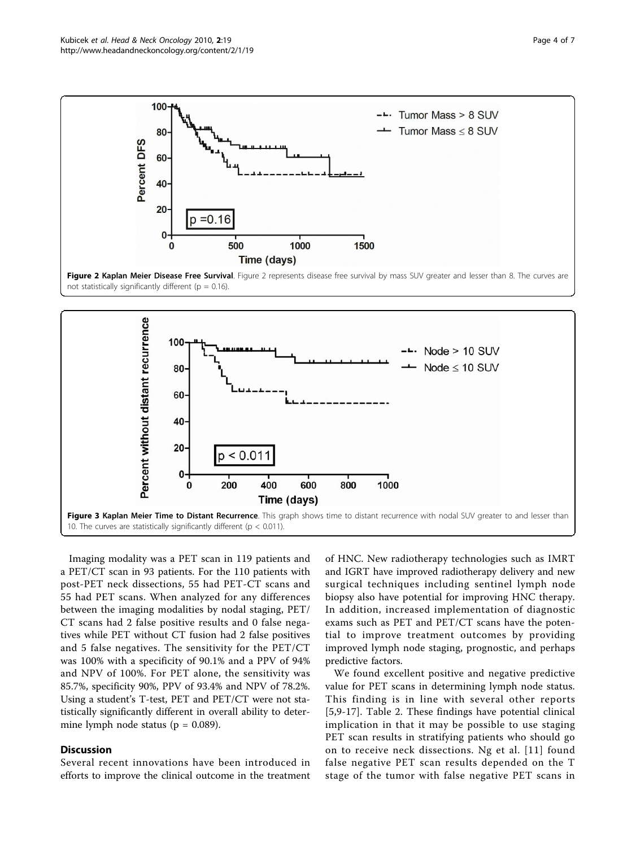<span id="page-3-0"></span>



Imaging modality was a PET scan in 119 patients and a PET/CT scan in 93 patients. For the 110 patients with post-PET neck dissections, 55 had PET-CT scans and 55 had PET scans. When analyzed for any differences between the imaging modalities by nodal staging, PET/ CT scans had 2 false positive results and 0 false negatives while PET without CT fusion had 2 false positives and 5 false negatives. The sensitivity for the PET/CT was 100% with a specificity of 90.1% and a PPV of 94% and NPV of 100%. For PET alone, the sensitivity was 85.7%, specificity 90%, PPV of 93.4% and NPV of 78.2%. Using a student's T-test, PET and PET/CT were not statistically significantly different in overall ability to determine lymph node status ( $p = 0.089$ ).

# Discussion

Several recent innovations have been introduced in efforts to improve the clinical outcome in the treatment

of HNC. New radiotherapy technologies such as IMRT and IGRT have improved radiotherapy delivery and new surgical techniques including sentinel lymph node biopsy also have potential for improving HNC therapy. In addition, increased implementation of diagnostic exams such as PET and PET/CT scans have the potential to improve treatment outcomes by providing improved lymph node staging, prognostic, and perhaps predictive factors.

We found excellent positive and negative predictive value for PET scans in determining lymph node status. This finding is in line with several other reports [[5,9](#page-5-0)-[17\]](#page-5-0). Table [2](#page-4-0). These findings have potential clinical implication in that it may be possible to use staging PET scan results in stratifying patients who should go on to receive neck dissections. Ng et al. [[11\]](#page-5-0) found false negative PET scan results depended on the T stage of the tumor with false negative PET scans in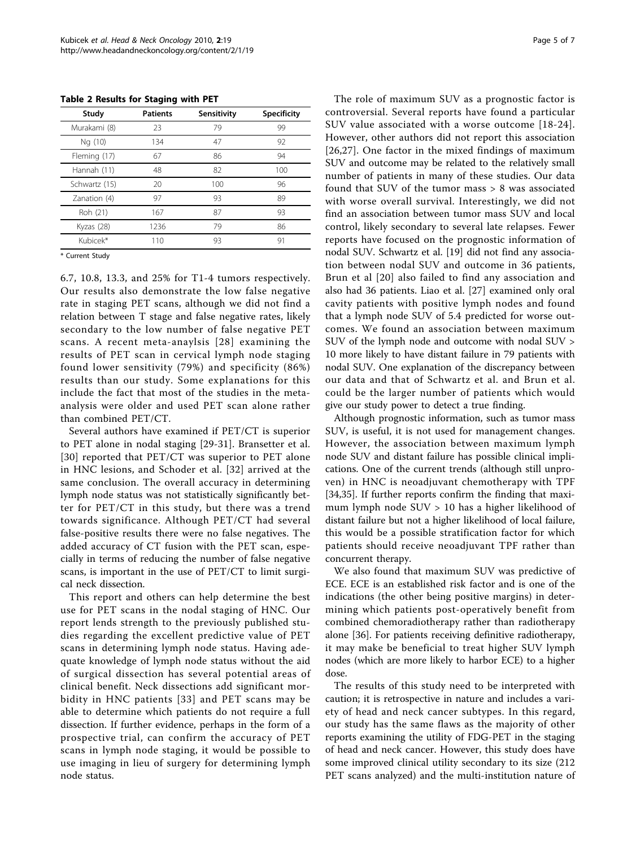<span id="page-4-0"></span>Table 2 Results for Staging with PET

| Study         | <b>Patients</b> | Sensitivity | <b>Specificity</b> |
|---------------|-----------------|-------------|--------------------|
| Murakami (8)  | 23              | 79          | 99                 |
| Ng (10)       | 134             | 47          | 92                 |
| Fleming (17)  | 67              | 86          | 94                 |
| Hannah (11)   | 48              | 82          | 100                |
| Schwartz (15) | 20              | 100         | 96                 |
| Zanation (4)  | 97              | 93          | 89                 |
| Roh (21)      | 167             | 87          | 93                 |
| Kyzas (28)    | 1236            | 79          | 86                 |
| Kubicek*      | 110             | 93          | 91                 |

\* Current Study

6.7, 10.8, 13.3, and 25% for T1-4 tumors respectively. Our results also demonstrate the low false negative rate in staging PET scans, although we did not find a relation between T stage and false negative rates, likely secondary to the low number of false negative PET scans. A recent meta-anaylsis [[28](#page-6-0)] examining the results of PET scan in cervical lymph node staging found lower sensitivity (79%) and specificity (86%) results than our study. Some explanations for this include the fact that most of the studies in the metaanalysis were older and used PET scan alone rather than combined PET/CT.

Several authors have examined if PET/CT is superior to PET alone in nodal staging [[29-31](#page-6-0)]. Bransetter et al. [[30](#page-6-0)] reported that PET/CT was superior to PET alone in HNC lesions, and Schoder et al. [[32](#page-6-0)] arrived at the same conclusion. The overall accuracy in determining lymph node status was not statistically significantly better for PET/CT in this study, but there was a trend towards significance. Although PET/CT had several false-positive results there were no false negatives. The added accuracy of CT fusion with the PET scan, especially in terms of reducing the number of false negative scans, is important in the use of PET/CT to limit surgical neck dissection.

This report and others can help determine the best use for PET scans in the nodal staging of HNC. Our report lends strength to the previously published studies regarding the excellent predictive value of PET scans in determining lymph node status. Having adequate knowledge of lymph node status without the aid of surgical dissection has several potential areas of clinical benefit. Neck dissections add significant morbidity in HNC patients [[33](#page-6-0)] and PET scans may be able to determine which patients do not require a full dissection. If further evidence, perhaps in the form of a prospective trial, can confirm the accuracy of PET scans in lymph node staging, it would be possible to use imaging in lieu of surgery for determining lymph node status.

The role of maximum SUV as a prognostic factor is controversial. Several reports have found a particular SUV value associated with a worse outcome [[18-24\]](#page-5-0). However, other authors did not report this association [[26,27\]](#page-6-0). One factor in the mixed findings of maximum SUV and outcome may be related to the relatively small number of patients in many of these studies. Our data found that SUV of the tumor mass > 8 was associated with worse overall survival. Interestingly, we did not find an association between tumor mass SUV and local control, likely secondary to several late relapses. Fewer reports have focused on the prognostic information of nodal SUV. Schwartz et al. [\[19\]](#page-5-0) did not find any association between nodal SUV and outcome in 36 patients, Brun et al [[20](#page-5-0)] also failed to find any association and also had 36 patients. Liao et al. [[27\]](#page-6-0) examined only oral cavity patients with positive lymph nodes and found that a lymph node SUV of 5.4 predicted for worse outcomes. We found an association between maximum SUV of the lymph node and outcome with nodal SUV > 10 more likely to have distant failure in 79 patients with nodal SUV. One explanation of the discrepancy between our data and that of Schwartz et al. and Brun et al. could be the larger number of patients which would give our study power to detect a true finding.

Although prognostic information, such as tumor mass SUV, is useful, it is not used for management changes. However, the association between maximum lymph node SUV and distant failure has possible clinical implications. One of the current trends (although still unproven) in HNC is neoadjuvant chemotherapy with TPF [[34,35\]](#page-6-0). If further reports confirm the finding that maximum lymph node SUV > 10 has a higher likelihood of distant failure but not a higher likelihood of local failure, this would be a possible stratification factor for which patients should receive neoadjuvant TPF rather than concurrent therapy.

We also found that maximum SUV was predictive of ECE. ECE is an established risk factor and is one of the indications (the other being positive margins) in determining which patients post-operatively benefit from combined chemoradiotherapy rather than radiotherapy alone [\[36\]](#page-6-0). For patients receiving definitive radiotherapy, it may make be beneficial to treat higher SUV lymph nodes (which are more likely to harbor ECE) to a higher dose.

The results of this study need to be interpreted with caution; it is retrospective in nature and includes a variety of head and neck cancer subtypes. In this regard, our study has the same flaws as the majority of other reports examining the utility of FDG-PET in the staging of head and neck cancer. However, this study does have some improved clinical utility secondary to its size (212 PET scans analyzed) and the multi-institution nature of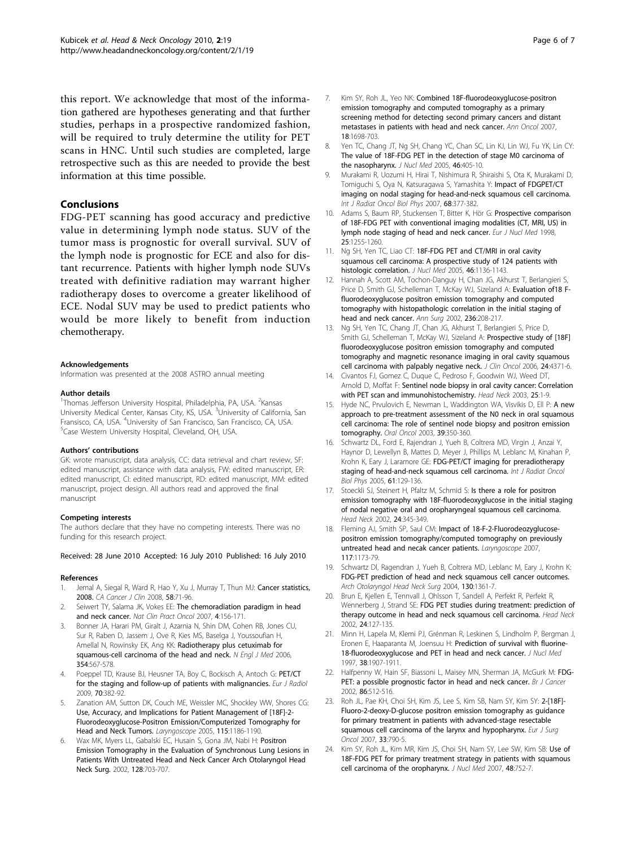<span id="page-5-0"></span>this report. We acknowledge that most of the information gathered are hypotheses generating and that further studies, perhaps in a prospective randomized fashion, will be required to truly determine the utility for PET scans in HNC. Until such studies are completed, large retrospective such as this are needed to provide the best information at this time possible.

## Conclusions

FDG-PET scanning has good accuracy and predictive value in determining lymph node status. SUV of the tumor mass is prognostic for overall survival. SUV of the lymph node is prognostic for ECE and also for distant recurrence. Patients with higher lymph node SUVs treated with definitive radiation may warrant higher radiotherapy doses to overcome a greater likelihood of ECE. Nodal SUV may be used to predict patients who would be more likely to benefit from induction chemotherapy.

#### Acknowledgements

Information was presented at the 2008 ASTRO annual meeting

#### Author details

<sup>1</sup>Thomas Jefferson University Hospital, Philadelphia, PA, USA. <sup>2</sup>Kansas University Medical Center, Kansas City, KS, USA. <sup>3</sup>University of California, San Fransisco, CA, USA. <sup>4</sup>University of San Francisco, San Francisco, CA, USA.<br><sup>5</sup>Case Western University Hospital, Claveland, OH, USA. <sup>5</sup>Case Western University Hospital, Cleveland, OH, USA.

#### Authors' contributions

GK: wrote manuscript, data analysis, CC: data retrieval and chart review, SF: edited manuscript, assistance with data analysis, FW: edited manuscript, ER: edited manuscript, CI: edited manuscript, RD: edited manuscript, MM: edited manuscript, project design. All authors read and approved the final manuscript

#### Competing interests

The authors declare that they have no competing interests. There was no funding for this research project.

#### Received: 28 June 2010 Accepted: 16 July 2010 Published: 16 July 2010

#### References

- 1. Jemal A, Siegal R, Ward R, Hao Y, Xu J, Murray T, Thun MJ: [Cancer statistics,](http://www.ncbi.nlm.nih.gov/pubmed/18287387?dopt=Abstract) [2008.](http://www.ncbi.nlm.nih.gov/pubmed/18287387?dopt=Abstract) CA Cancer J Clin 2008, 58:71-96.
- Seiwert TY, Salama JK, Vokes EE: [The chemoradiation paradigm in head](http://www.ncbi.nlm.nih.gov/pubmed/17327856?dopt=Abstract) [and neck cancer.](http://www.ncbi.nlm.nih.gov/pubmed/17327856?dopt=Abstract) Nat Clin Pract Oncol 2007, 4:156-171.
- 3. Bonner JA, Harari PM, Giralt J, Azarnia N, Shin DM, Cohen RB, Jones CU, Sur R, Raben D, Jassem J, Ove R, Kies MS, Baselga J, Youssoufian H, Amellal N, Rowinsky EK, Ang KK: [Radiotherapy plus cetuximab for](http://www.ncbi.nlm.nih.gov/pubmed/16467544?dopt=Abstract) [squamous-cell carcinoma of the head and neck.](http://www.ncbi.nlm.nih.gov/pubmed/16467544?dopt=Abstract) N Engl J Med 2006, 354:567-578.
- Poeppel TD, Krause BJ, Heusner TA, Boy C, Bockisch A, Antoch G: [PET/CT](http://www.ncbi.nlm.nih.gov/pubmed/19406595?dopt=Abstract) [for the staging and follow-up of patients with malignancies.](http://www.ncbi.nlm.nih.gov/pubmed/19406595?dopt=Abstract) Eur J Radiol 2009, 70:382-92.
- 5. Zanation AM, Sutton DK, Couch ME, Weissler MC, Shockley WW, Shores CG: [Use, Accuracy, and Implications for Patient Management of \[18F\]-2-](http://www.ncbi.nlm.nih.gov/pubmed/15995504?dopt=Abstract) [Fluorodeoxyglucose-Positron Emission/Computerized Tomography for](http://www.ncbi.nlm.nih.gov/pubmed/15995504?dopt=Abstract) [Head and Neck Tumors.](http://www.ncbi.nlm.nih.gov/pubmed/15995504?dopt=Abstract) Laryngoscope 2005, 115:1186-1190.
- Wax MK, Myers LL, Gabalski EC, Husain S, Gona JM, Nabi H: [Positron](http://www.ncbi.nlm.nih.gov/pubmed/12049568?dopt=Abstract) [Emission Tomography in the Evaluation of Synchronous Lung Lesions in](http://www.ncbi.nlm.nih.gov/pubmed/12049568?dopt=Abstract) [Patients With Untreated Head and Neck Cancer Arch Otolaryngol Head](http://www.ncbi.nlm.nih.gov/pubmed/12049568?dopt=Abstract) [Neck Surg.](http://www.ncbi.nlm.nih.gov/pubmed/12049568?dopt=Abstract) 2002, 128:703-707.
- 7. Kim SY, Roh JL, Yeo NK: Combined 18F-fluorodeoxyalucose-positron [emission tomography and computed tomography as a primary](http://www.ncbi.nlm.nih.gov/pubmed/17716985?dopt=Abstract) [screening method for detecting second primary cancers and distant](http://www.ncbi.nlm.nih.gov/pubmed/17716985?dopt=Abstract) [metastases in patients with head and neck cancer.](http://www.ncbi.nlm.nih.gov/pubmed/17716985?dopt=Abstract) Ann Oncol 2007, 18:1698-703.
- Yen TC, Chang JT, Ng SH, Chang YC, Chan SC, Lin KJ, Lin WJ, Fu YK, Lin CY: [The value of 18F-FDG PET in the detection of stage M0 carcinoma of](http://www.ncbi.nlm.nih.gov/pubmed/15750151?dopt=Abstract) [the nasopharynx.](http://www.ncbi.nlm.nih.gov/pubmed/15750151?dopt=Abstract) J Nucl Med 2005, 46:405-10.
- 9. Murakami R, Uozumi H, Hirai T, Nishimura R, Shiraishi S, Ota K, Murakami D, Tomiguchi S, Oya N, Katsuragawa S, Yamashita Y: [Impact of FDGPET/CT](http://www.ncbi.nlm.nih.gov/pubmed/17321066?dopt=Abstract) [imaging on nodal staging for head-and-neck squamous cell carcinoma.](http://www.ncbi.nlm.nih.gov/pubmed/17321066?dopt=Abstract) Int J Radiat Oncol Biol Phys 2007, 68:377-382.
- 10. Adams S, Baum RP, Stuckensen T, Bitter K, Hör G: [Prospective comparison](http://www.ncbi.nlm.nih.gov/pubmed/9724374?dopt=Abstract) [of 18F-FDG PET with conventional imaging modalities \(CT, MRI, US\) in](http://www.ncbi.nlm.nih.gov/pubmed/9724374?dopt=Abstract) [lymph node staging of head and neck cancer.](http://www.ncbi.nlm.nih.gov/pubmed/9724374?dopt=Abstract) Eur J Nucl Med 1998, 25:1255-1260.
- 11. Ng SH, Yen TC, Liao CT: [18F-FDG PET and CT/MRI in oral cavity](http://www.ncbi.nlm.nih.gov/pubmed/16000282?dopt=Abstract) [squamous cell carcinoma: A prospective study of 124 patients with](http://www.ncbi.nlm.nih.gov/pubmed/16000282?dopt=Abstract) [histologic correlation.](http://www.ncbi.nlm.nih.gov/pubmed/16000282?dopt=Abstract) J Nucl Med 2005, 46:1136-1143.
- 12. Hannah A, Scott AM, Tochon-Danguy H, Chan JG, Akhurst T, Berlangieri S, Price D, Smith GJ, Schelleman T, McKay WJ, Sizeland A: [Evaluation of18 F](http://www.ncbi.nlm.nih.gov/pubmed/12170026?dopt=Abstract)[fluorodeoxyglucose positron emission tomography and computed](http://www.ncbi.nlm.nih.gov/pubmed/12170026?dopt=Abstract) [tomography with histopathologic correlation in the initial staging of](http://www.ncbi.nlm.nih.gov/pubmed/12170026?dopt=Abstract) [head and neck cancer.](http://www.ncbi.nlm.nih.gov/pubmed/12170026?dopt=Abstract) Ann Surg 2002, 236:208-217.
- 13. Ng SH, Yen TC, Chang JT, Chan JG, Akhurst T, Berlangieri S, Price D, Smith GJ, Schelleman T, McKay WJ, Sizeland A: [Prospective study of \[18F\]](http://www.ncbi.nlm.nih.gov/pubmed/16983105?dopt=Abstract) [fluorodeoxyglucose positron emission tomography and computed](http://www.ncbi.nlm.nih.gov/pubmed/16983105?dopt=Abstract) [tomography and magnetic resonance imaging in oral cavity squamous](http://www.ncbi.nlm.nih.gov/pubmed/16983105?dopt=Abstract) [cell carcinoma with palpably negative neck.](http://www.ncbi.nlm.nih.gov/pubmed/16983105?dopt=Abstract) J Clin Oncol 2006, 24:4371-6.
- 14. Civantos FJ, Gomez C, Duque C, Pedroso F, Goodwin WJ, Weed DT, Arnold D, Moffat F: [Sentinel node biopsy in oral cavity cancer: Correlation](http://www.ncbi.nlm.nih.gov/pubmed/12478537?dopt=Abstract) [with PET scan and immunohistochemistry.](http://www.ncbi.nlm.nih.gov/pubmed/12478537?dopt=Abstract) Head Neck 2003, 25:1-9.
- 15. Hyde NC, Prvulovich E, Newman L, Waddington WA, Visvikis D, Ell P: [A new](http://www.ncbi.nlm.nih.gov/pubmed/12676254?dopt=Abstract) [approach to pre-treatment assessment of the N0 neck in oral squamous](http://www.ncbi.nlm.nih.gov/pubmed/12676254?dopt=Abstract) [cell carcinoma: The role of sentinel node biopsy and positron emission](http://www.ncbi.nlm.nih.gov/pubmed/12676254?dopt=Abstract) [tomography.](http://www.ncbi.nlm.nih.gov/pubmed/12676254?dopt=Abstract) Oral Oncol 2003, 39:350-360.
- 16. Schwartz DL, Ford E, Rajendran J, Yueh B, Coltrera MD, Virgin J, Anzai Y, Haynor D, Lewellyn B, Mattes D, Meyer J, Phillips M, Leblanc M, Kinahan P, Krohn K, Eary J, Laramore GE: [FDG-PET/CT imaging for preradiotherapy](http://www.ncbi.nlm.nih.gov/pubmed/15629603?dopt=Abstract) [staging of head-and-neck squamous cell carcinoma.](http://www.ncbi.nlm.nih.gov/pubmed/15629603?dopt=Abstract) Int J Radiat Oncol Biol Phys 2005, 61:129-136.
- 17. Stoeckli SJ, Steinert H, Pfaltz M, Schmid S: [Is there a role for positron](http://www.ncbi.nlm.nih.gov/pubmed/11933176?dopt=Abstract) [emission tomography with 18F-fluorodeoxyglucose in the initial staging](http://www.ncbi.nlm.nih.gov/pubmed/11933176?dopt=Abstract) [of nodal negative oral and oropharyngeal squamous cell carcinoma.](http://www.ncbi.nlm.nih.gov/pubmed/11933176?dopt=Abstract) Head Neck 2002, 24:345-349.
- 18. Fleming AJ, Smith SP, Saul CM: [Impact of 18-F-2-Fluorodeozyglucose](http://www.ncbi.nlm.nih.gov/pubmed/17603315?dopt=Abstract)[positron emission tomography/computed tomography on previously](http://www.ncbi.nlm.nih.gov/pubmed/17603315?dopt=Abstract) [untreated head and necak cancer patients.](http://www.ncbi.nlm.nih.gov/pubmed/17603315?dopt=Abstract) Laryngoscope 2007, 117:1173-79.
- 19. Schwartz Dl, Ragendran J, Yueh B, Coltrera MD, Leblanc M, Eary J, Krohn K: [FDG-PET prediction of head and neck squamous cell cancer outcomes.](http://www.ncbi.nlm.nih.gov/pubmed/15611393?dopt=Abstract) Arch Otolaryngol Head Neck Surg 2004, 130:1361-7.
- 20. Brun E, Kjellen E, Tennvall J, Ohlsson T, Sandell A, Perfekt R, Perfekt R, Wennerberg J, Strand SE: [FDG PET studies during treatment: prediction of](http://www.ncbi.nlm.nih.gov/pubmed/11891942?dopt=Abstract) [therapy outcome in head and neck squamous cell carcinoma.](http://www.ncbi.nlm.nih.gov/pubmed/11891942?dopt=Abstract) Head Neck 2002, 24:127-135.
- 21. Minn H, Lapela M, Klemi PJ, Grénman R, Leskinen S, Lindholm P, Bergman J, Eronen E, Haaparanta M, Joensuu H: [Prediction of survival with fluorine-](http://www.ncbi.nlm.nih.gov/pubmed/9430467?dopt=Abstract)[18-fluorodeoxyglucose and PET in head and neck cancer.](http://www.ncbi.nlm.nih.gov/pubmed/9430467?dopt=Abstract) J Nucl Med 1997, 38:1907-1911.
- 22. Halfpenny W, Hain SF, Biassoni L, Maisey MN, Sherman JA, McGurk M: [FDG-](http://www.ncbi.nlm.nih.gov/pubmed/11870529?dopt=Abstract)[PET: a possible prognostic factor in head and neck cancer.](http://www.ncbi.nlm.nih.gov/pubmed/11870529?dopt=Abstract) Br J Cancer 2002, 86:512-516.
- 23. Roh JL, Pae KH, Choi SH, Kim JS, Lee S, Kim SB, Nam SY, Kim SY: [2-\[18F\]-](http://www.ncbi.nlm.nih.gov/pubmed/17306956?dopt=Abstract) [Fluoro-2-deoxy-D-glucose positron emission tomography as guidance](http://www.ncbi.nlm.nih.gov/pubmed/17306956?dopt=Abstract) [for primary treatment in patients with advanced-stage resectable](http://www.ncbi.nlm.nih.gov/pubmed/17306956?dopt=Abstract) [squamous cell carcinoma of the larynx and hypopharynx.](http://www.ncbi.nlm.nih.gov/pubmed/17306956?dopt=Abstract) Eur J Surg Oncol 2007, 33:790-5.
- 24. Kim SY, Roh JL, Kim MR, Kim JS, Choi SH, Nam SY, Lee SW, Kim SB: [Use of](http://www.ncbi.nlm.nih.gov/pubmed/17475963?dopt=Abstract) [18F-FDG PET for primary treatment strategy in patients with squamous](http://www.ncbi.nlm.nih.gov/pubmed/17475963?dopt=Abstract) [cell carcinoma of the oropharynx.](http://www.ncbi.nlm.nih.gov/pubmed/17475963?dopt=Abstract) J Nucl Med 2007, 48:752-7.